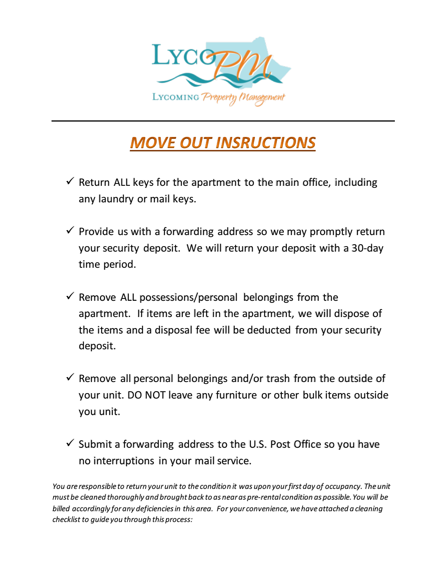

## **MOVE OUT INSRUCTIONS**

- $\checkmark$  Return ALL keys for the apartment to the main office, including any laundry or mail keys.
- $\checkmark$  Provide us with a forwarding address so we may promptly return your security deposit. We will return your deposit with a 30-day time period.
- $\checkmark$  Remove ALL possessions/personal belongings from the apartment. If items are left in the apartment, we will dispose of the items and a disposal fee will be deducted from your security deposit.
- $\checkmark$  Remove all personal belongings and/or trash from the outside of your unit. DO NOT leave any furniture or other bulk items outside you unit.
- $\checkmark$  Submit a forwarding address to the U.S. Post Office so you have no interruptions in your mail service.

*You are responsible to return your unit to the condition it was upon your first day of occupancy. The unit must be cleaned thoroughly and brought back to as near as pre-rental condition as possible. You will be billed accordingly for any deficiencies in this area. For your convenience, we have attached a cleaning checklist to guide you through this process:*